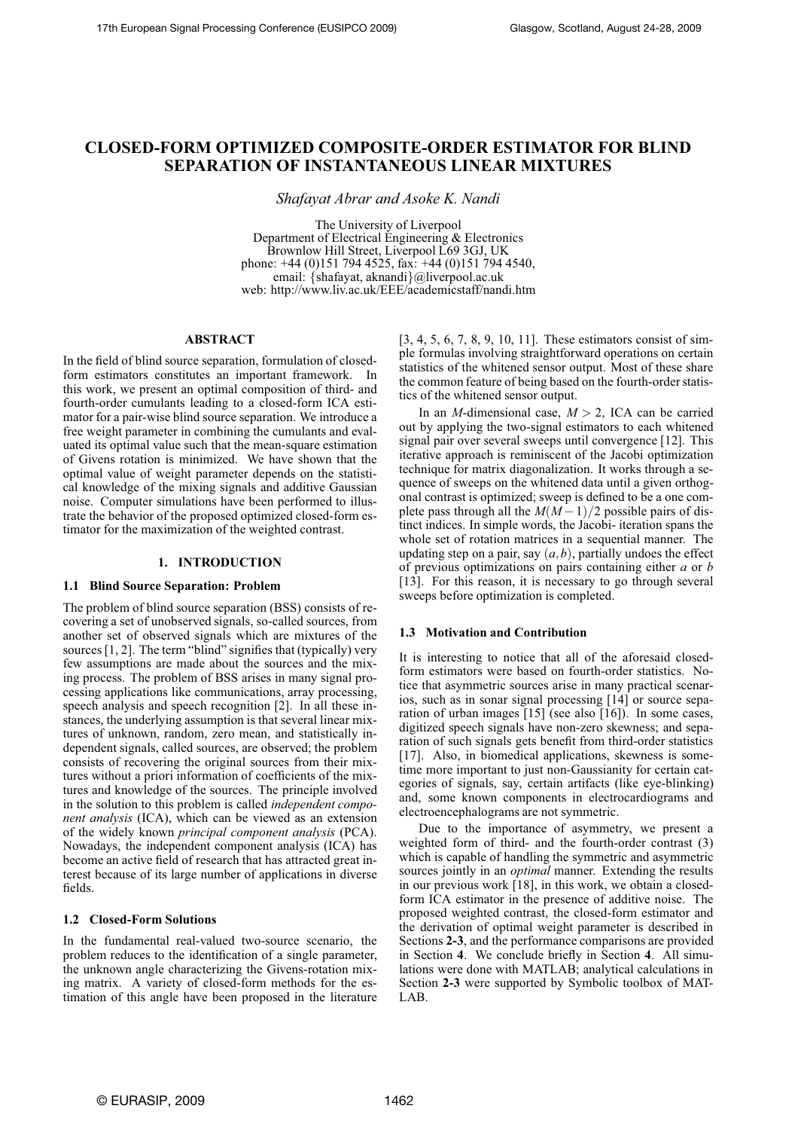# **CLOSED-FORM OPTIMIZED COMPOSITE-ORDER ESTIMATOR FOR BLIND SEPARATION OF INSTANTANEOUS LINEAR MIXTURES**

*Shafayat Abrar and Asoke K. Nandi*

The University of Liverpool Department of Electrical Engineering & Electronics Brownlow Hill Street, Liverpool L69 3GJ, UK phone: +44 (0)151 794 4525, fax: +44 (0)151 794 4540, email: {shafayat, aknandi}@liverpool.ac.uk web: http://www.liv.ac.uk/EEE/academicstaff/nandi.htm

# **ABSTRACT**

In the field of blind source separation, formulation of closedform estimators constitutes an important framework. In this work, we present an optimal composition of third- and fourth-order cumulants leading to a closed-form ICA estimator for a pair-wise blind source separation. We introduce a free weight parameter in combining the cumulants and evaluated its optimal value such that the mean-square estimation of Givens rotation is minimized. We have shown that the optimal value of weight parameter depends on the statistical knowledge of the mixing signals and additive Gaussian noise. Computer simulations have been performed to illustrate the behavior of the proposed optimized closed-form estimator for the maximization of the weighted contrast.

# **1. INTRODUCTION**

#### **1.1 Blind Source Separation: Problem**

The problem of blind source separation (BSS) consists of recovering a set of unobserved signals, so-called sources, from another set of observed signals which are mixtures of the sources [1, 2]. The term "blind" signifies that (typically) very few assumptions are made about the sources and the mixing process. The problem of BSS arises in many signal processing applications like communications, array processing, speech analysis and speech recognition [2]. In all these instances, the underlying assumption is that several linear mixtures of unknown, random, zero mean, and statistically independent signals, called sources, are observed; the problem consists of recovering the original sources from their mixtures without a priori information of coefficients of the mixtures and knowledge of the sources. The principle involved in the solution to this problem is called *independent component analysis* (ICA), which can be viewed as an extension of the widely known *principal component analysis* (PCA). Nowadays, the independent component analysis (ICA) has become an active field of research that has attracted great interest because of its large number of applications in diverse fields.

# **1.2 Closed-Form Solutions**

In the fundamental real-valued two-source scenario, the problem reduces to the identification of a single parameter, the unknown angle characterizing the Givens-rotation mixing matrix. A variety of closed-form methods for the estimation of this angle have been proposed in the literature [3, 4, 5, 6, 7, 8, 9, 10, 11]. These estimators consist of simple formulas involving straightforward operations on certain statistics of the whitened sensor output. Most of these share the common feature of being based on the fourth-order statistics of the whitened sensor output.

In an *M*-dimensional case, *M* > 2, ICA can be carried out by applying the two-signal estimators to each whitened signal pair over several sweeps until convergence [12]. This iterative approach is reminiscent of the Jacobi optimization technique for matrix diagonalization. It works through a sequence of sweeps on the whitened data until a given orthogonal contrast is optimized; sweep is defined to be a one complete pass through all the  $M(M-1)/2$  possible pairs of distinct indices. In simple words, the Jacobi- iteration spans the whole set of rotation matrices in a sequential manner. The updating step on a pair, say  $(a, b)$ , partially undoes the effect of previous optimizations on pairs containing either *a* or *b* [13]. For this reason, it is necessary to go through several sweeps before optimization is completed.

# **1.3 Motivation and Contribution**

It is interesting to notice that all of the aforesaid closedform estimators were based on fourth-order statistics. Notice that asymmetric sources arise in many practical scenarios, such as in sonar signal processing [14] or source separation of urban images [15] (see also [16]). In some cases, digitized speech signals have non-zero skewness; and separation of such signals gets benefit from third-order statistics [17]. Also, in biomedical applications, skewness is sometime more important to just non-Gaussianity for certain categories of signals, say, certain artifacts (like eye-blinking) and, some known components in electrocardiograms and electroencephalograms are not symmetric.

Due to the importance of asymmetry, we present a weighted form of third- and the fourth-order contrast (3) which is capable of handling the symmetric and asymmetric sources jointly in an *optimal* manner. Extending the results in our previous work [18], in this work, we obtain a closedform ICA estimator in the presence of additive noise. The proposed weighted contrast, the closed-form estimator and the derivation of optimal weight parameter is described in Sections **2-3**, and the performance comparisons are provided in Section **4**. We conclude briefly in Section **4**. All simulations were done with MATLAB; analytical calculations in Section **2-3** were supported by Symbolic toolbox of MAT-LAB.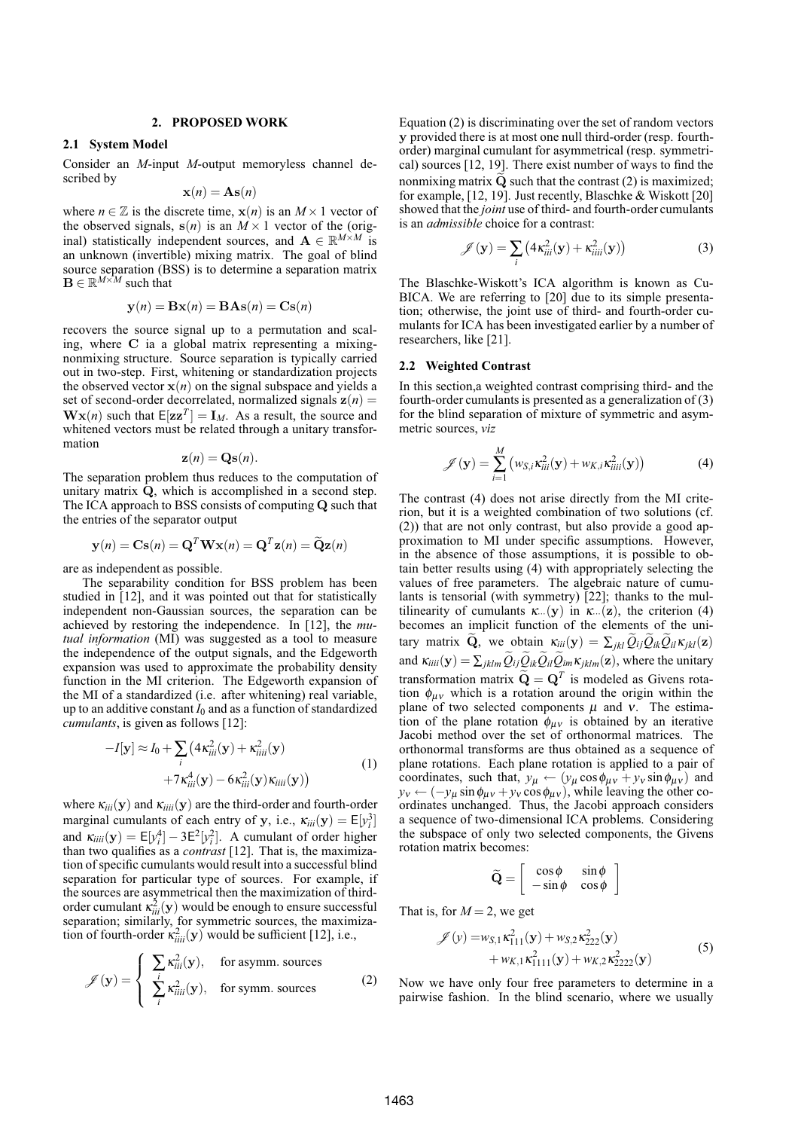#### **2. PROPOSED WORK**

#### **2.1 System Model**

Consider an *M*-input *M*-output memoryless channel described by

$$
\mathbf{x}(n) = \mathbf{A}\mathbf{s}(n)
$$

where  $n \in \mathbb{Z}$  is the discrete time,  $\mathbf{x}(n)$  is an  $M \times 1$  vector of the observed signals,  $s(n)$  is an  $M \times 1$  vector of the (original) statistically independent sources, and  $\mathbf{A} \in \mathbb{R}^{M \times M}$  is an unknown (invertible) mixing matrix. The goal of blind source separation (BSS) is to determine a separation matrix  $\mathbf{B} \in \mathbb{R}^{M \times M}$  such that

$$
\mathbf{y}(n) = \mathbf{B}\mathbf{x}(n) = \mathbf{B}\mathbf{A}\mathbf{s}(n) = \mathbf{C}\mathbf{s}(n)
$$

recovers the source signal up to a permutation and scaling, where C ia a global matrix representing a mixingnonmixing structure. Source separation is typically carried out in two-step. First, whitening or standardization projects the observed vector  $x(n)$  on the signal subspace and yields a set of second-order decorrelated, normalized signals  $z(n)$  =  $\mathbf{W} \mathbf{x}(n)$  such that  $\mathbf{E}[\mathbf{z}\mathbf{z}^T] = \mathbf{I}_M$ . As a result, the source and whitened vectors must be related through a unitary transformation

$$
\mathbf{z}(n) = \mathbf{Q}\mathbf{s}(n).
$$

The separation problem thus reduces to the computation of unitary matrix Q, which is accomplished in a second step. The ICA approach to BSS consists of computing Q such that the entries of the separator output

$$
\mathbf{y}(n) = \mathbf{C}\mathbf{s}(n) = \mathbf{Q}^T \mathbf{W} \mathbf{x}(n) = \mathbf{Q}^T \mathbf{z}(n) = \widetilde{\mathbf{Q}} \mathbf{z}(n)
$$

are as independent as possible.

The separability condition for BSS problem has been studied in [12], and it was pointed out that for statistically independent non-Gaussian sources, the separation can be achieved by restoring the independence. In [12], the *mutual information* (MI) was suggested as a tool to measure the independence of the output signals, and the Edgeworth expansion was used to approximate the probability density function in the MI criterion. The Edgeworth expansion of the MI of a standardized (i.e. after whitening) real variable, up to an additive constant  $I_0$  and as a function of standardized *cumulants*, is given as follows [12]:

$$
-I[\mathbf{y}] \approx I_0 + \sum_i \left(4\kappa_{iii}^2(\mathbf{y}) + \kappa_{iii}^2(\mathbf{y})\right) +7\kappa_{iii}^4(\mathbf{y}) - 6\kappa_{iii}^2(\mathbf{y})\kappa_{iii}(\mathbf{y})
$$
\n(1)

where  $\kappa_{iii}(\mathbf{y})$  and  $\kappa_{iiii}(\mathbf{y})$  are the third-order and fourth-order marginal cumulants of each entry of y, i.e.,  $\kappa_{iii}(\mathbf{y}) = \mathsf{E}[y_i^3]$ and  $\kappa_{iiii}(\mathbf{y}) = \mathsf{E}[y_i^4] - 3\mathsf{E}^2[y_i^2]$ . A cumulant of order higher than two qualifies as a *contrast* [12]. That is, the maximization of specific cumulants would result into a successful blind separation for particular type of sources. For example, if the sources are asymmetrical then the maximization of thirdorder cumulant  $\kappa_{iii}^2(\mathbf{y})$  would be enough to ensure successful separation; similarly, for symmetric sources, the maximization of fourth-order  $\kappa_{iiii}^2(y)$  would be sufficient [12], i.e.,

$$
\mathscr{J}(\mathbf{y}) = \begin{cases} \sum_{i} \kappa_{iii}^{2}(\mathbf{y}), & \text{for asymm. sources} \\ \sum_{i} \kappa_{iii}^{2}(\mathbf{y}), & \text{for symm. sources} \end{cases}
$$
 (2)

Equation (2) is discriminating over the set of random vectors y provided there is at most one null third-order (resp. fourthorder) marginal cumulant for asymmetrical (resp. symmetrical) sources [12, 19]. There exist number of ways to find the nonmixing matrix  $Q$  such that the contrast (2) is maximized; for example, [12, 19]. Just recently, Blaschke & Wiskott [20] showed that the *joint* use of third- and fourth-order cumulants is an *admissible* choice for a contrast:

$$
\mathscr{J}(\mathbf{y}) = \sum_{i} \left( 4\kappa_{iii}^{2}(\mathbf{y}) + \kappa_{iiii}^{2}(\mathbf{y}) \right)
$$
 (3)

The Blaschke-Wiskott's ICA algorithm is known as Cu-BICA. We are referring to [20] due to its simple presentation; otherwise, the joint use of third- and fourth-order cumulants for ICA has been investigated earlier by a number of researchers, like [21].

# **2.2 Weighted Contrast**

In this section,a weighted contrast comprising third- and the fourth-order cumulants is presented as a generalization of (3) for the blind separation of mixture of symmetric and asymmetric sources, *viz*

$$
\mathscr{J}(\mathbf{y}) = \sum_{i=1}^{M} \left( w_{S,i} \kappa_{iii}^2(\mathbf{y}) + w_{K,i} \kappa_{iii}^2(\mathbf{y}) \right)
$$
(4)

The contrast (4) does not arise directly from the MI criterion, but it is a weighted combination of two solutions (cf. (2)) that are not only contrast, but also provide a good approximation to MI under specific assumptions. However, in the absence of those assumptions, it is possible to obtain better results using (4) with appropriately selecting the values of free parameters. The algebraic nature of cumulants is tensorial (with symmetry) [22]; thanks to the multilinearity of cumulants  $\kappa$ ...(y) in  $\kappa$ ...(z), the criterion (4) becomes an implicit function of the elements of the unitary matrix  $\widetilde{Q}$ , we obtain  $\kappa_{iii}(y) = \sum_{jkl} \widetilde{Q}_{ij} \widetilde{Q}_{ik} \widetilde{Q}_{il} \kappa_{jkl}(z)$ and  $\kappa_{iiii}(\mathbf{y}) = \sum_{jklm} Q_{ij} Q_{ik} Q_{il} Q_{im} \kappa_{jklm}(\mathbf{z})$ , where the unitary transformation matrix  $\widetilde{\mathbf{Q}} = \mathbf{Q}^T$  is modeled as Givens rotation  $\phi_{\mu\nu}$  which is a rotation around the origin within the plane of two selected components  $\mu$  and  $\nu$ . The estimation of the plane rotation  $\phi_{\mu\nu}$  is obtained by an iterative Jacobi method over the set of orthonormal matrices. The orthonormal transforms are thus obtained as a sequence of plane rotations. Each plane rotation is applied to a pair of coordinates, such that,  $y_{\mu} \leftarrow (y_{\mu} \cos \phi_{\mu\nu} + y_{\nu} \sin \phi_{\mu\nu})$  and  $y_v \leftarrow (-y_\mu \sin \phi_{\mu\nu} + y_\nu \cos \phi_{\mu\nu})$ , while leaving the other coordinates unchanged. Thus, the Jacobi approach considers a sequence of two-dimensional ICA problems. Considering the subspace of only two selected components, the Givens rotation matrix becomes:

$$
\widetilde{\mathbf{Q}} = \left[ \begin{array}{cc} \cos \phi & \sin \phi \\ -\sin \phi & \cos \phi \end{array} \right]
$$

That is, for  $M = 2$ , we get

$$
\mathcal{J}(y) = w_{S,1} \kappa_{111}^2(\mathbf{y}) + w_{S,2} \kappa_{222}^2(\mathbf{y}) + w_{K,1} \kappa_{1111}^2(\mathbf{y}) + w_{K,2} \kappa_{2222}^2(\mathbf{y})
$$
\n(5)

Now we have only four free parameters to determine in a pairwise fashion. In the blind scenario, where we usually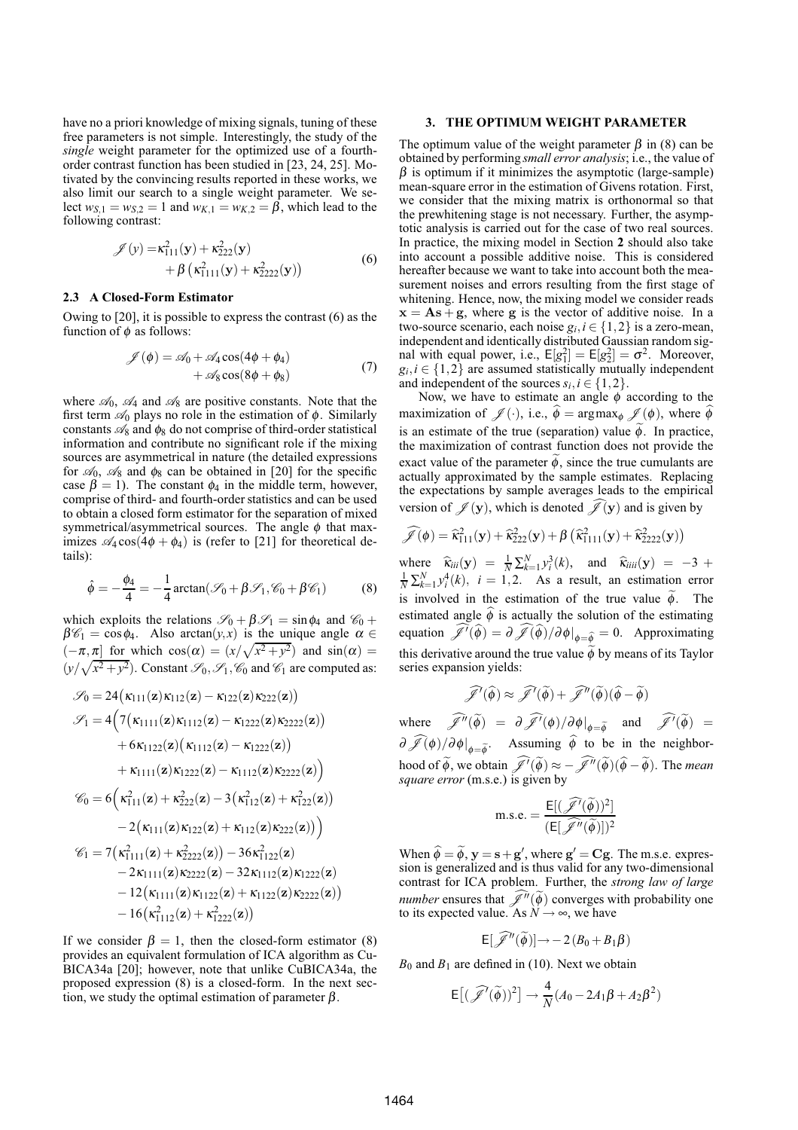have no a priori knowledge of mixing signals, tuning of these free parameters is not simple. Interestingly, the study of the *single* weight parameter for the optimized use of a fourthorder contrast function has been studied in [23, 24, 25]. Motivated by the convincing results reported in these works, we also limit our search to a single weight parameter. We select  $w_{S,1} = w_{S,2} = 1$  and  $w_{K,1} = w_{K,2} = \beta$ , which lead to the following contrast:

$$
\mathscr{J}(y) = \kappa_{111}^2(\mathbf{y}) + \kappa_{222}^2(\mathbf{y}) + \beta \left( \kappa_{1111}^2(\mathbf{y}) + \kappa_{2222}^2(\mathbf{y}) \right)
$$
(6)

#### **2.3 A Closed-Form Estimator**

Owing to [20], it is possible to express the contrast (6) as the function of  $\phi$  as follows:

$$
\mathcal{J}(\phi) = \mathcal{A}_0 + \mathcal{A}_4 \cos(4\phi + \phi_4) + \mathcal{A}_8 \cos(8\phi + \phi_8)
$$
 (7)

where  $\mathcal{A}_0$ ,  $\mathcal{A}_4$  and  $\mathcal{A}_8$  are positive constants. Note that the first term  $\mathcal{A}_0$  plays no role in the estimation of  $\phi$ . Similarly constants  $\mathcal{A}_8$  and  $\phi_8$  do not comprise of third-order statistical information and contribute no significant role if the mixing sources are asymmetrical in nature (the detailed expressions for  $\mathcal{A}_0$ ,  $\mathcal{A}_8$  and  $\phi_8$  can be obtained in [20] for the specific case  $\beta = 1$ ). The constant  $\phi_4$  in the middle term, however, comprise of third- and fourth-order statistics and can be used to obtain a closed form estimator for the separation of mixed symmetrical/asymmetrical sources. The angle  $\phi$  that maximizes  $\mathscr{A}_4 \cos(4\phi + \phi_4)$  is (refer to [21] for theoretical details):

$$
\hat{\phi} = -\frac{\phi_4}{4} = -\frac{1}{4}\arctan(\mathcal{S}_0 + \beta \mathcal{S}_1, \mathcal{C}_0 + \beta \mathcal{C}_1)
$$
(8)

which exploits the relations  $\mathscr{S}_0 + \beta \mathscr{S}_1 = \sin \phi_4$  and  $\mathscr{C}_0 +$  $\beta \mathscr{C}_1 = \cos \phi_4$ . Also arctan $(y, x)$  is the unique angle  $\alpha \in$  $(-\pi, \pi]$  for which  $\cos(\alpha) = (x/\sqrt{x^2 + y^2})$  and  $\sin(\alpha) =$  $(y/\sqrt{x^2 + y^2})$ . Constant  $\mathscr{S}_0$ ,  $\mathscr{S}_1$ ,  $\mathscr{C}_0$  and  $\mathscr{C}_1$  are computed as:

$$
\mathcal{S}_0 = 24(\kappa_{111}(\mathbf{z})\kappa_{112}(\mathbf{z}) - \kappa_{122}(\mathbf{z})\kappa_{222}(\mathbf{z})) \n\mathcal{S}_1 = 4(7(\kappa_{1111}(\mathbf{z})\kappa_{1112}(\mathbf{z}) - \kappa_{1222}(\mathbf{z})\kappa_{2222}(\mathbf{z})) \n+ 6\kappa_{1122}(\mathbf{z})(\kappa_{1112}(\mathbf{z}) - \kappa_{1222}(\mathbf{z})) \n+ \kappa_{1111}(\mathbf{z})\kappa_{1222}(\mathbf{z}) - \kappa_{1112}(\mathbf{z})\kappa_{2222}(\mathbf{z}) \n\mathcal{C}_0 = 6(\kappa_{111}^2(\mathbf{z}) + \kappa_{222}^2(\mathbf{z}) - 3(\kappa_{112}^2(\mathbf{z}) + \kappa_{122}^2(\mathbf{z})) \n- 2(\kappa_{111}(\mathbf{z})\kappa_{122}(\mathbf{z}) + \kappa_{112}(\mathbf{z})\kappa_{222}(\mathbf{z})) \n- 2(\kappa_{111}(\mathbf{z}) + \kappa_{2222}^2(\mathbf{z})) - 36\kappa_{1122}^2(\mathbf{z}) \n- 2\kappa_{1111}(\mathbf{z})\kappa_{2222}(\mathbf{z}) - 32\kappa_{1112}(\mathbf{z})\kappa_{1222}(\mathbf{z}) \n- 12(\kappa_{1111}(\mathbf{z})\kappa_{1122}(\mathbf{z}) + \kappa_{1122}(\mathbf{z})\kappa_{2222}(\mathbf{z})) \n- 16(\kappa_{1112}^2(\mathbf{z}) + \kappa_{1222}^2(\mathbf{z}))
$$

If we consider  $\beta = 1$ , then the closed-form estimator (8) provides an equivalent formulation of ICA algorithm as Cu-BICA34a [20]; however, note that unlike CuBICA34a, the proposed expression (8) is a closed-form. In the next section, we study the optimal estimation of parameter  $\beta$ .

## **3. THE OPTIMUM WEIGHT PARAMETER**

The optimum value of the weight parameter  $\beta$  in (8) can be obtained by performing *small error analysis*; i.e., the value of  $\beta$  is optimum if it minimizes the asymptotic (large-sample) mean-square error in the estimation of Givens rotation. First, we consider that the mixing matrix is orthonormal so that the prewhitening stage is not necessary. Further, the asymptotic analysis is carried out for the case of two real sources. In practice, the mixing model in Section **2** should also take into account a possible additive noise. This is considered hereafter because we want to take into account both the measurement noises and errors resulting from the first stage of whitening. Hence, now, the mixing model we consider reads  $x = As + g$ , where g is the vector of additive noise. In a two-source scenario, each noise  $g_i, i \in \{1, 2\}$  is a zero-mean, independent and identically distributed Gaussian random signal with equal power, i.e.,  $E[g_1^2] = E[g_2^2] = \sigma^2$ . Moreover,  $g_i, i \in \{1, 2\}$  are assumed statistically mutually independent and independent of the sources  $s_i, i \in \{1,2\}$ .

Now, we have to estimate an angle  $\phi$  according to the maximization of  $\mathscr{J}(\cdot)$ , i.e.,  $\hat{\phi} = \argmax_{\phi} \mathscr{J} (\phi)$ , where  $\phi$ is an estimate of the true (separation) value  $\widetilde{\phi}$ . In practice, the maximization of contrast function does not provide the exact value of the parameter  $\phi$ , since the true cumulants are actually approximated by the sample estimates. Replacing the expectations by sample averages leads to the empirical version of  $\mathscr{J}(\mathbf{y})$ , which is denoted  $\mathscr{J}(\mathbf{y})$  and is given by

$$
\widehat{\mathscr{J}}(\phi) = \widehat{\kappa}_{111}^2(\mathbf{y}) + \widehat{\kappa}_{222}^2(\mathbf{y}) + \beta \left( \widehat{\kappa}_{1111}^2(\mathbf{y}) + \widehat{\kappa}_{2222}^2(\mathbf{y}) \right)
$$

where  $\hat{\kappa}_{iii}(\mathbf{y}) = \frac{1}{N} \sum_{k=1}^{N} y_i^3(k)$ , and  $\hat{\kappa}_{iiii}(\mathbf{y}) = -3 + \frac{1}{N} \sum_{k=1}^{N} y_i^4(k)$ ,  $i = 1, 2$ . As a result, an estimation error is involved in the estimation of the true value  $\tilde{\phi}$ . The estimated angle  $\hat{\phi}$  is actually the solution of the estimating equation  $\widehat{\mathscr{J}}'(\widehat{\phi}) = \partial \widehat{\mathscr{J}}(\widehat{\phi})/\partial \phi|_{\phi = \widehat{\phi}} = 0$ . Approximating this derivative around the true value  $\widetilde{\phi}$  by means of its Taylor series expansion yields:

$$
\widehat{\mathscr{J}}'(\widehat{\phi})\approx \widehat{\mathscr{J}}'(\widetilde{\phi})+\widehat{\mathscr{J}}''(\widetilde{\phi})(\widehat{\phi}-\widetilde{\phi})
$$

where  $\widehat{\mathscr{J}}''(\widetilde{\phi}) = \partial \widehat{\mathscr{J}}'(\phi)/\partial \phi|_{\phi = \widetilde{\phi}}$  and  $\widehat{\mathscr{J}}'(\widetilde{\phi}) =$  $\partial \mathscr{J}(\phi)/\partial \phi|_{\phi=\tilde{\phi}}$ . Assuming  $\phi$  to be in the neighborhood of  $\tilde{\phi}$ , we obtain  $\tilde{\mathscr{J}}(\tilde{\phi}) \approx -\tilde{\mathscr{J}}''(\tilde{\phi})(\tilde{\phi}-\tilde{\phi})$ . The *mean square error* (m.s.e.) is given by

m.s.e. = 
$$
\frac{\mathsf{E}[(\widehat{\mathscr{J}}'(\widetilde{\phi}))^2]}{(\mathsf{E}[\widehat{\mathscr{J}}''(\widetilde{\phi})])^2}
$$

When  $\hat{\phi} = \tilde{\phi}$ ,  $y = s + g'$ , where  $g' = Cg$ . The m.s.e. expression is generalized and is thus valid for any two-dimensional contrast for ICA problem. Further, the *strong law of large number* ensures that  $\widehat{\mathscr{J}}^{\prime\prime}(\widetilde{\phi})$  converges with probability one to its expected value. As *N* → ∞, we have

$$
E[\widehat{\mathscr{J}}''(\widetilde{\phi})] \rightarrow -2(B_0 + B_1 \beta)
$$

 $B_0$  and  $B_1$  are defined in (10). Next we obtain

$$
\mathsf{E}\big[ (\widehat{\mathscr{J}}'(\widetilde{\phi}))^2 \big] \to \frac{4}{N} (A_0 - 2A_1\beta + A_2\beta^2)
$$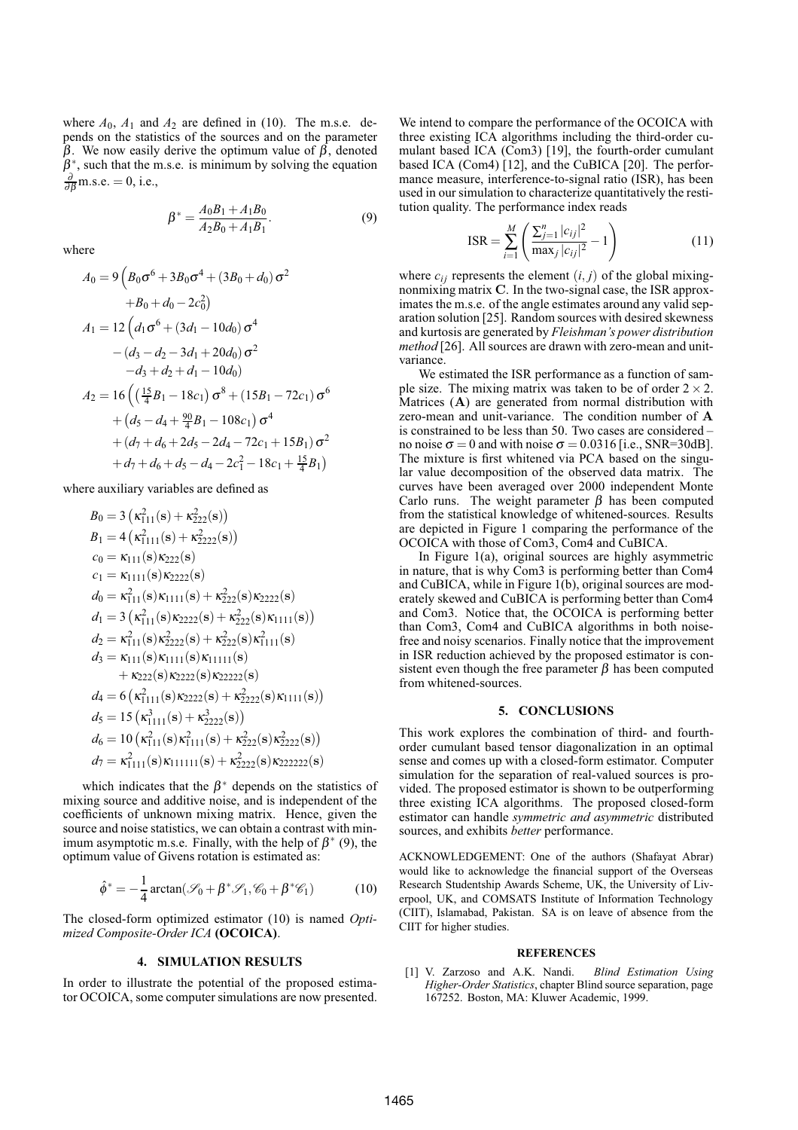where  $A_0$ ,  $A_1$  and  $A_2$  are defined in (10). The m.s.e. depends on the statistics of the sources and on the parameter β. We now easily derive the optimum value of  $β$ , denoted  $\beta^*$ , such that the m.s.e. is minimum by solving the equation  $\frac{\partial}{\partial \beta}$ m.s.e. = 0, i.e.,

$$
\beta^* = \frac{A_0 B_1 + A_1 B_0}{A_2 B_0 + A_1 B_1}.\tag{9}
$$

where

$$
A_0 = 9\left(B_0\sigma^6 + 3B_0\sigma^4 + (3B_0 + d_0)\sigma^2
$$
  
\n
$$
+B_0 + d_0 - 2c_0^2\right)
$$
  
\n
$$
A_1 = 12\left(d_1\sigma^6 + (3d_1 - 10d_0)\sigma^4
$$
  
\n
$$
-(d_3 - d_2 - 3d_1 + 20d_0)\sigma^2
$$
  
\n
$$
-d_3 + d_2 + d_1 - 10d_0\right)
$$
  
\n
$$
A_2 = 16\left(\left(\frac{15}{4}B_1 - 18c_1\right)\sigma^8 + (15B_1 - 72c_1)\sigma^6
$$
  
\n
$$
+ (d_5 - d_4 + \frac{90}{4}B_1 - 108c_1)\sigma^4
$$
  
\n
$$
+ (d_7 + d_6 + 2d_5 - 2d_4 - 72c_1 + 15B_1)\sigma^2
$$
  
\n
$$
+ d_7 + d_6 + d_5 - d_4 - 2c_1^2 - 18c_1 + \frac{15}{4}B_1\right)
$$

where auxiliary variables are defined as

$$
B_0 = 3 \left( \kappa_{111}^2(s) + \kappa_{222}^2(s) \right)
$$
  
\n
$$
B_1 = 4 \left( \kappa_{1111}^2(s) + \kappa_{2222}^2(s) \right)
$$
  
\n
$$
c_0 = \kappa_{111}(s) \kappa_{222}(s)
$$
  
\n
$$
c_1 = \kappa_{1111}(s) \kappa_{222}(s)
$$
  
\n
$$
d_0 = \kappa_{111}^2(s) \kappa_{1111}(s) + \kappa_{222}^2(s) \kappa_{2222}(s)
$$
  
\n
$$
d_1 = 3 \left( \kappa_{111}^2(s) \kappa_{2222}(s) + \kappa_{222}^2(s) \kappa_{1111}(s) \right)
$$
  
\n
$$
d_2 = \kappa_{111}^2(s) \kappa_{2222}^2(s) + \kappa_{222}^2(s) \kappa_{1111}^2(s)
$$
  
\n
$$
d_3 = \kappa_{111}(s) \kappa_{1111}(s) \kappa_{1111}(s)
$$
  
\n
$$
+ \kappa_{222}(s) \kappa_{2222}(s) + \kappa_{2222}^2(s)
$$
  
\n
$$
d_4 = 6 \left( \kappa_{1111}^2(s) \kappa_{2222}(s) + \kappa_{2222}^2(s) \kappa_{1111}(s) \right)
$$
  
\n
$$
d_5 = 15 \left( \kappa_{1111}^2(s) + \kappa_{2222}^2(s) \right)
$$
  
\n
$$
d_6 = 10 \left( \kappa_{111}^2(s) \kappa_{1111}^2(s) + \kappa_{2222}^2(s) \kappa_{2222}^2(s) \right)
$$
  
\n
$$
d_7 = \kappa_{1111}^2(s) \kappa_{11111}(s) + \kappa_{2222}^2(s) \kappa_{22222}(s)
$$

which indicates that the  $\beta^*$  depends on the statistics of mixing source and additive noise, and is independent of the coefficients of unknown mixing matrix. Hence, given the source and noise statistics, we can obtain a contrast with minimum asymptotic m.s.e. Finally, with the help of  $\beta^*$  (9), the optimum value of Givens rotation is estimated as:

$$
\hat{\phi}^* = -\frac{1}{4}\arctan(\mathcal{S}_0 + \beta^* \mathcal{S}_1, \mathcal{C}_0 + \beta^* \mathcal{C}_1)
$$
 (10)

The closed-form optimized estimator (10) is named *Optimized Composite-Order ICA* **(OCOICA)**.

## **4. SIMULATION RESULTS**

In order to illustrate the potential of the proposed estimator OCOICA, some computer simulations are now presented. We intend to compare the performance of the OCOICA with three existing ICA algorithms including the third-order cumulant based ICA (Com3) [19], the fourth-order cumulant based ICA (Com4) [12], and the CuBICA [20]. The performance measure, interference-to-signal ratio (ISR), has been used in our simulation to characterize quantitatively the restitution quality. The performance index reads

$$
ISR = \sum_{i=1}^{M} \left( \frac{\sum_{j=1}^{n} |c_{ij}|^2}{\max_j |c_{ij}|^2} - 1 \right)
$$
 (11)

where  $c_{ij}$  represents the element  $(i, j)$  of the global mixingnonmixing matrix C. In the two-signal case, the ISR approximates the m.s.e. of the angle estimates around any valid separation solution [25]. Random sources with desired skewness and kurtosis are generated by *Fleishman's power distribution method* [26]. All sources are drawn with zero-mean and unitvariance.

We estimated the ISR performance as a function of sample size. The mixing matrix was taken to be of order  $2 \times 2$ . Matrices (A) are generated from normal distribution with zero-mean and unit-variance. The condition number of A is constrained to be less than 50. Two cases are considered – no noise  $\sigma = 0$  and with noise  $\sigma = 0.0316$  [i.e., SNR=30dB]. The mixture is first whitened via PCA based on the singular value decomposition of the observed data matrix. The curves have been averaged over 2000 independent Monte Carlo runs. The weight parameter  $\beta$  has been computed from the statistical knowledge of whitened-sources. Results are depicted in Figure 1 comparing the performance of the OCOICA with those of Com3, Com4 and CuBICA.

In Figure 1(a), original sources are highly asymmetric in nature, that is why Com3 is performing better than Com4 and CuBICA, while in Figure 1(b), original sources are moderately skewed and CuBICA is performing better than Com4 and Com3. Notice that, the OCOICA is performing better than Com3, Com4 and CuBICA algorithms in both noisefree and noisy scenarios. Finally notice that the improvement in ISR reduction achieved by the proposed estimator is consistent even though the free parameter  $\beta$  has been computed from whitened-sources.

#### **5. CONCLUSIONS**

This work explores the combination of third- and fourthorder cumulant based tensor diagonalization in an optimal sense and comes up with a closed-form estimator. Computer simulation for the separation of real-valued sources is provided. The proposed estimator is shown to be outperforming three existing ICA algorithms. The proposed closed-form estimator can handle *symmetric and asymmetric* distributed sources, and exhibits *better* performance.

ACKNOWLEDGEMENT: One of the authors (Shafayat Abrar) would like to acknowledge the financial support of the Overseas Research Studentship Awards Scheme, UK, the University of Liverpool, UK, and COMSATS Institute of Information Technology (CIIT), Islamabad, Pakistan. SA is on leave of absence from the CIIT for higher studies.

#### **REFERENCES**

[1] V. Zarzoso and A.K. Nandi. *Blind Estimation Using Higher-Order Statistics*, chapter Blind source separation, page 167252. Boston, MA: Kluwer Academic, 1999.